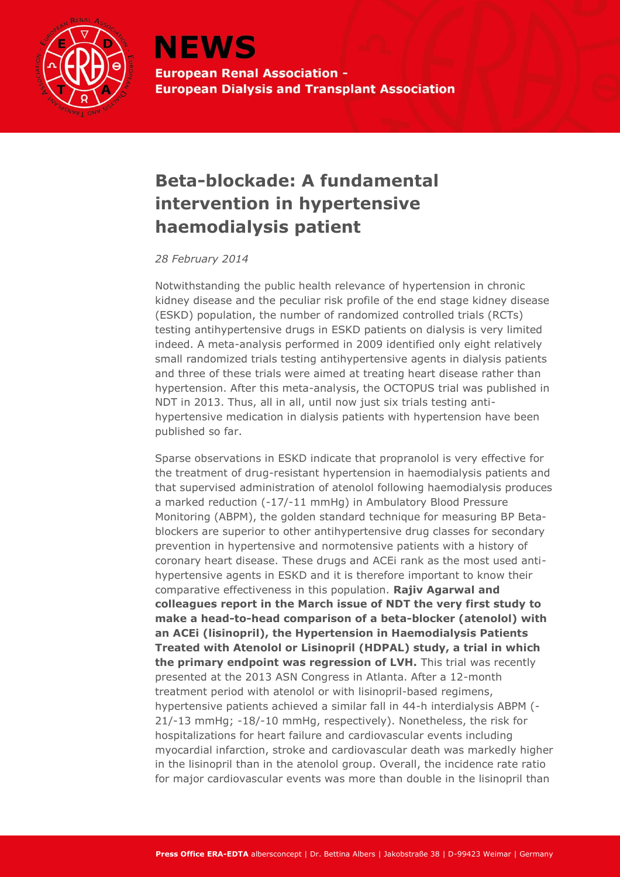

**NEWS European Renal Association -European Dialysis and Transplant Association** 

## **Beta-blockade: A fundamental intervention in hypertensive haemodialysis patient**

*28 February 2014*

Notwithstanding the public health relevance of hypertension in chronic kidney disease and the peculiar risk profile of the end stage kidney disease (ESKD) population, the number of randomized controlled trials (RCTs) testing antihypertensive drugs in ESKD patients on dialysis is very limited indeed. A meta-analysis performed in 2009 identified only eight relatively small randomized trials testing antihypertensive agents in dialysis patients and three of these trials were aimed at treating heart disease rather than hypertension. After this meta-analysis, the OCTOPUS trial was published in NDT in 2013. Thus, all in all, until now just six trials testing antihypertensive medication in dialysis patients with hypertension have been published so far.

Sparse observations in ESKD indicate that propranolol is very effective for the treatment of drug-resistant hypertension in haemodialysis patients and that supervised administration of atenolol following haemodialysis produces a marked reduction (-17/-11 mmHg) in Ambulatory Blood Pressure Monitoring (ABPM), the golden standard technique for measuring BP Betablockers are superior to other antihypertensive drug classes for secondary prevention in hypertensive and normotensive patients with a history of coronary heart disease. These drugs and ACEi rank as the most used antihypertensive agents in ESKD and it is therefore important to know their comparative effectiveness in this population. **Rajiv Agarwal and colleagues report in the March issue of NDT the very first study to make a head-to-head comparison of a beta-blocker (atenolol) with an ACEi (lisinopril), the Hypertension in Haemodialysis Patients Treated with Atenolol or Lisinopril (HDPAL) study, a trial in which the primary endpoint was regression of LVH.** This trial was recently presented at the 2013 ASN Congress in Atlanta. After a 12-month treatment period with atenolol or with lisinopril-based regimens, hypertensive patients achieved a similar fall in 44-h interdialysis ABPM (- 21/-13 mmHg; -18/-10 mmHg, respectively). Nonetheless, the risk for hospitalizations for heart failure and cardiovascular events including myocardial infarction, stroke and cardiovascular death was markedly higher in the lisinopril than in the atenolol group. Overall, the incidence rate ratio for major cardiovascular events was more than double in the lisinopril than